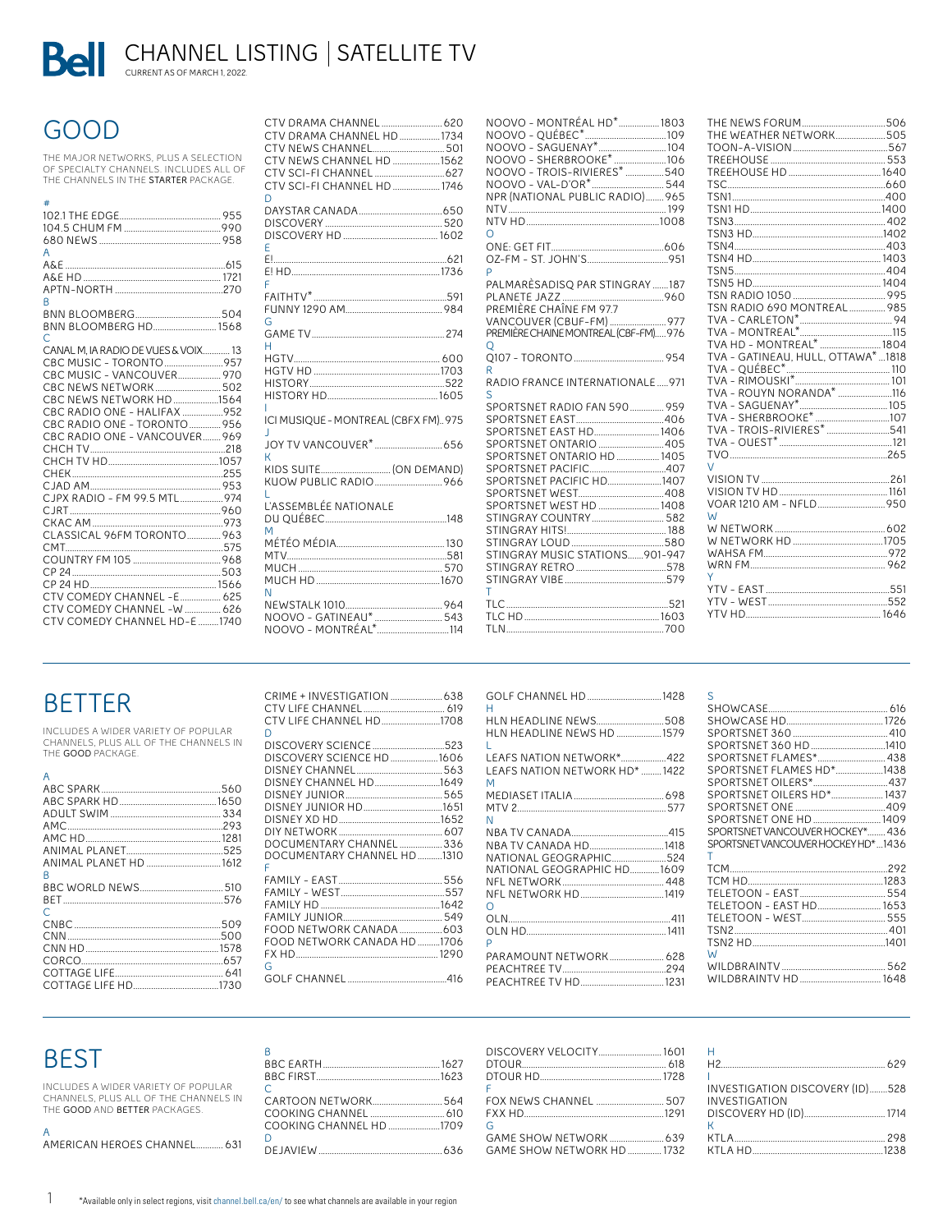Bell CHANNEL LISTING | SATELLITE TV

# **GOOD**

THE MAJOR NETWORKS, PLUS A SELECTION<br>OF SPECIALTY CHANNELS. INCLUDES ALL OF THE CHANNELS IN THE STARTER PACKAGE.

| ≠                                   |  |
|-------------------------------------|--|
|                                     |  |
|                                     |  |
| A                                   |  |
|                                     |  |
|                                     |  |
|                                     |  |
| R                                   |  |
|                                     |  |
| BNN BLOOMBERG HD 1568<br>C          |  |
| CANAL M. IA RADIO DE VUES & VOIX 13 |  |
| CBC MUSIC - TORONTO 957             |  |
| CBC MUSIC - VANCOUVER 970           |  |
| CBC NEWS NETWORK 502                |  |
| CBC NEWS NETWORK HD 1564            |  |
| CBC RADIO ONE - HALIFAX 952         |  |
| CBC RADIO ONE - TORONTO  956        |  |
| CBC RADIO ONE - VANCOUVER 969       |  |
|                                     |  |
|                                     |  |
|                                     |  |
| CJPX RADIO - FM 99.5 MTL974         |  |
|                                     |  |
|                                     |  |
| CLASSICAL 96FM TORONTO963           |  |
|                                     |  |
|                                     |  |
|                                     |  |
|                                     |  |
| CTV COMEDY CHANNEL - E 625          |  |
| CTV COMEDY CHANNEL -W  626          |  |
| CTV COMEDY CHANNEL HD-E 1740        |  |
|                                     |  |

| CTV DRAMA CHANNEL HD  1734<br>CTV NEWS CHANNEL 501<br>CTV NEWS CHANNEL HD 1562<br>CTV SCI-FI CHANNEL HD  1746<br>D |
|--------------------------------------------------------------------------------------------------------------------|
| Ë                                                                                                                  |
| F                                                                                                                  |
| G                                                                                                                  |
| н                                                                                                                  |
|                                                                                                                    |
| L<br>ICI MUSIQUE - MONTREAL (CBFX FM)975                                                                           |
| J<br>К                                                                                                             |
| י.<br>KIDS SUITE (ON DEMAND)<br>L                                                                                  |
| L'ASSEMBLÉE NATIONALE<br>M                                                                                         |
|                                                                                                                    |
| N<br>NOOVO - MONTRÉAL*.<br><del>.</del> 114                                                                        |

| NOOVO - MONTRÉAL HD*1803<br>NPR (NATIONAL PUBLIC RADIO)965                                                                                                                                                                              |  |
|-----------------------------------------------------------------------------------------------------------------------------------------------------------------------------------------------------------------------------------------|--|
| ∩                                                                                                                                                                                                                                       |  |
| p                                                                                                                                                                                                                                       |  |
| PALMARÈSADISQ PAR STINGRAY 187<br>PREMIÈRE CHAÎNE EM 97.7                                                                                                                                                                               |  |
| VANCOUVER (CBUF-FM)  977<br>PREMIÈRE CHAINE MONTREAL (CBF-FM)976                                                                                                                                                                        |  |
| $\circ$<br>R                                                                                                                                                                                                                            |  |
| RADIO FRANCE INTERNATIONALE971                                                                                                                                                                                                          |  |
| S<br>SPORTSNET RADIO FAN 590 959<br>SPORTSNET EAST HD 1406<br>SPORTSNET ONTARIO 405<br>SPORTSNET ONTARIO HD  1405<br>SPORTSNET PACIFIC HD1407<br>SPORTSNET WEST HD  1408<br>STINGRAY COUNTRY 582<br>STINGRAY MUSIC STATIONS901-947<br>т |  |
|                                                                                                                                                                                                                                         |  |

 $\mathcal{L}$ 

 $\ddot{\phantom{a}}$ 

| THE WEATHER NETWORK505              |  |
|-------------------------------------|--|
|                                     |  |
|                                     |  |
|                                     |  |
|                                     |  |
|                                     |  |
|                                     |  |
|                                     |  |
|                                     |  |
|                                     |  |
|                                     |  |
|                                     |  |
|                                     |  |
|                                     |  |
| TSN RADIO 690 MONTREAL  985         |  |
|                                     |  |
|                                     |  |
| TVA HD - MONTREAL*  1804            |  |
| TVA - GATINEAU, HULL, OTTAWA*  1818 |  |
|                                     |  |
|                                     |  |
|                                     |  |
|                                     |  |
|                                     |  |
|                                     |  |
|                                     |  |
|                                     |  |
| $\sqrt{}$                           |  |
|                                     |  |
|                                     |  |
|                                     |  |
| W                                   |  |
|                                     |  |
|                                     |  |
|                                     |  |
|                                     |  |
| Υ                                   |  |
|                                     |  |
|                                     |  |
|                                     |  |
|                                     |  |

# **BETTER**

INCLUDES A WIDER VARIETY OF POPULAR<br>CHANNELS, PLUS ALL OF THE CHANNELS IN<br>THE **GOOD** PACKAGE.

| 509 |
|-----|
| 500 |
|     |
|     |
|     |
|     |
|     |

| CTV LIFE CHANNEL HD1708<br>n                                                                                                               |  |
|--------------------------------------------------------------------------------------------------------------------------------------------|--|
| DISCOVERY SCIENCE 523<br>DISCOVERY SCIENCE HD 1606<br>DISNEY CHANNEL HD1649<br>DOCUMENTARY CHANNEL 336<br>DOCUMENTARY CHANNEL HD 1310<br>F |  |
| FOOD NETWORK CANADA HD 1706<br>G                                                                                                           |  |
|                                                                                                                                            |  |

| GOLF CHANNEL HD  1428<br>н                                                   |  |
|------------------------------------------------------------------------------|--|
| HLN HEADLINE NEWS508<br>HLN HEADLINE NEWS HD 1579                            |  |
| L<br>LEAFS NATION NETWORK*422<br>LEAFS NATION NETWORK HD* 1422<br>M          |  |
| N                                                                            |  |
| NBA TV CANADA HD1418<br>NATIONAL GEOGRAPHIC524<br>NATIONAL GEOGRAPHIC HD1609 |  |
| ∩<br>ρ                                                                       |  |
|                                                                              |  |

| S                                    |  |
|--------------------------------------|--|
|                                      |  |
|                                      |  |
|                                      |  |
| SPORTSNET 360 HD 1410                |  |
| SPORTSNET FLAMES* 438                |  |
| SPORTSNET FLAMES HD*1438             |  |
|                                      |  |
| SPORTSNET OILERS HD* 1437            |  |
|                                      |  |
| SPORTSNET ONE HD  1409               |  |
| SPORTSNET VANCOLIVER HOCKEY* 436     |  |
| SPORTSNET VANCOUVER HOCKEY HD*  1436 |  |
| т                                    |  |
|                                      |  |
|                                      |  |
|                                      |  |
| TELETOON - EAST HD 1653              |  |
|                                      |  |
|                                      |  |
|                                      |  |
| W                                    |  |
|                                      |  |
|                                      |  |

# **BEST**

 $\mathbf{1}$ 

INCLUDES A WIDER VARIETY OF POPULAR<br>CHANNELS, PLUS ALL OF THE CHANNELS IN THE GOOD AND BETTER PACKAGES.

| A                           |  |
|-----------------------------|--|
| AMERICAN HEROES CHANNEL 631 |  |

| $\mathsf{B}$                          |  |
|---------------------------------------|--|
|                                       |  |
|                                       |  |
| $\subset$                             |  |
|                                       |  |
| COOKING CHANNEL __________________610 |  |
|                                       |  |
| $\cap$                                |  |
|                                       |  |

| DISCOVERY VELOCITY [601 H |                                 |
|---------------------------|---------------------------------|
| DTOUR HD. 228             |                                 |
|                           |                                 |
| F.                        | INVESTIGATION DISCOVERY (ID)528 |
|                           |                                 |
|                           |                                 |
| G                         |                                 |
|                           |                                 |
|                           |                                 |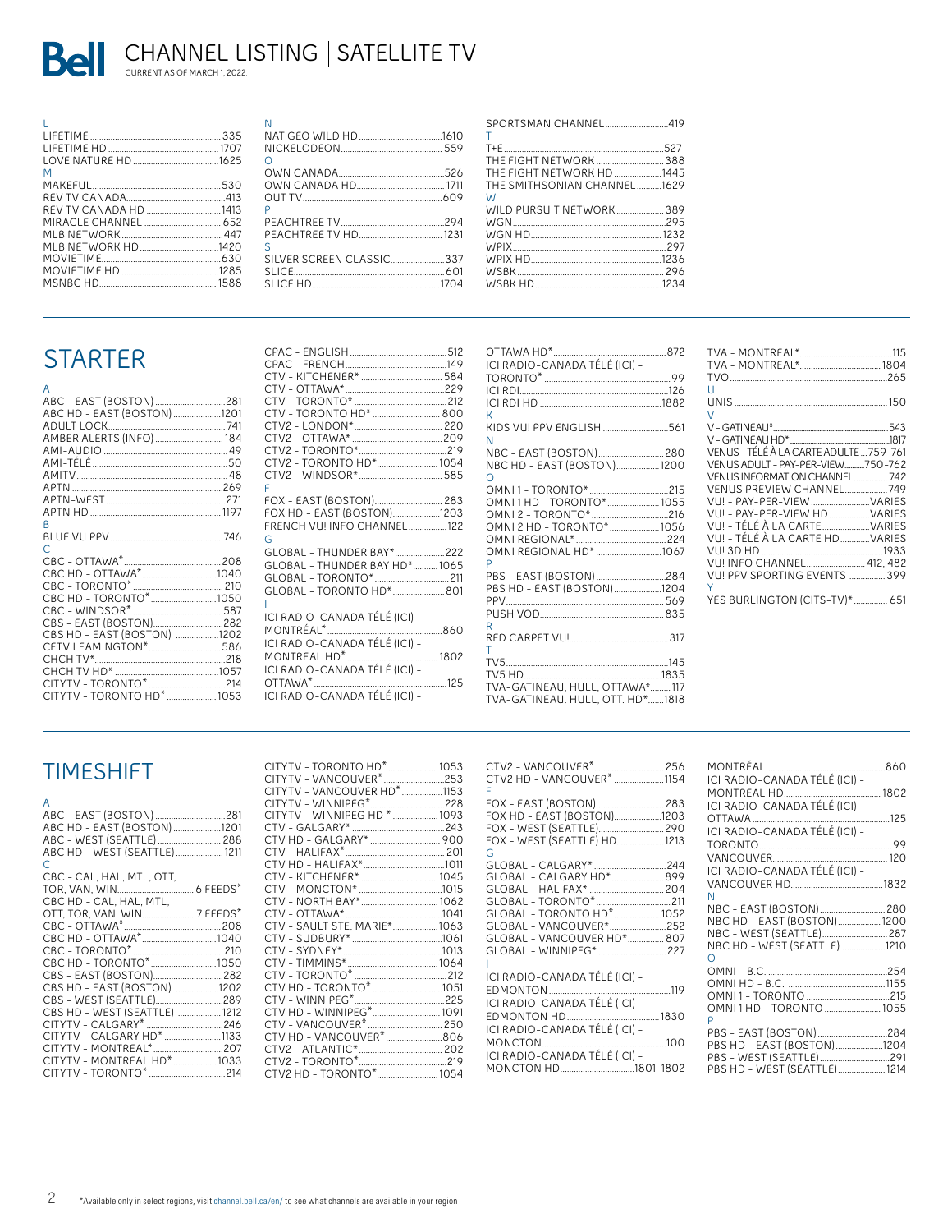

| M                             |  |
|-------------------------------|--|
|                               |  |
|                               |  |
|                               |  |
|                               |  |
|                               |  |
| MIRNETWORK HD <sub>1420</sub> |  |
|                               |  |
|                               |  |
|                               |  |
|                               |  |

| OUT TV<br>D               | 526 |
|---------------------------|-----|
| ς                         |     |
| SILVER SCREEN CLASSIC 337 |     |

| SPORTSMAN CHANNEL419<br>т   |  |
|-----------------------------|--|
|                             |  |
|                             |  |
| THE FIGHT NETWORK388        |  |
| THE FIGHT NETWORK HD1445    |  |
| THE SMITHSONIAN CHANNEL1629 |  |
| W                           |  |
| WILD PURSUIT NETWORK389     |  |
|                             |  |
|                             |  |
|                             |  |
|                             |  |
|                             |  |
|                             |  |
|                             |  |

# **STARTER**

| A                           |  |
|-----------------------------|--|
| ABC - EAST (BOSTON) 281     |  |
| ABC HD - EAST (BOSTON) 1201 |  |
|                             |  |
|                             |  |
|                             |  |
|                             |  |
|                             |  |
|                             |  |
|                             |  |
|                             |  |
| R                           |  |
|                             |  |
|                             |  |
| C                           |  |
|                             |  |
|                             |  |
|                             |  |
|                             |  |
|                             |  |
| CBS - EAST (BOSTON)282      |  |
| CBS HD - EAST (BOSTON) 1202 |  |
| CFTV LEAMINGTON* 586        |  |
|                             |  |
|                             |  |
|                             |  |
|                             |  |

| CTV - TORONTO HD*  800<br>CTV2 - TORONTO HD* 1054                                                                                                                |  |
|------------------------------------------------------------------------------------------------------------------------------------------------------------------|--|
|                                                                                                                                                                  |  |
| F<br>FOX HD - EAST (BOSTON)1203<br>FRENCH VU! INFO CHANNEL122<br>G<br>GLOBAL - THUNDER BAY* 222<br>GLOBAL - THUNDER BAY HD*1065<br>GLOBAL - TORONTO HD* 801<br>Ш |  |
| ICI RADIO-CANADA TÉLÉ (ICI) -<br>ICI RADIO-CANADA TÉLÉ (ICI) -<br>ICI RADIO-CANADA TÉLÉ (ICI) -<br>ICI RADIO-CANADA TÉLÉ (ICI) -                                 |  |

| ICI RADIO-CANADA TÉLÉ (ICI) -    |  |
|----------------------------------|--|
|                                  |  |
|                                  |  |
|                                  |  |
| K                                |  |
| KIDS VU! PPV ENGLISH 561         |  |
| Ñ                                |  |
|                                  |  |
| NBC HD - EAST (BOSTON)1200       |  |
| $\Omega$                         |  |
|                                  |  |
| OMNI1HD - TORONTO*1055           |  |
| OMNI 2 - TORONTO*216             |  |
| OMNI 2 HD - TORONTO*1056         |  |
|                                  |  |
| OMNI REGIONAL HD* 1067           |  |
| p                                |  |
| PBS - EAST (BOSTON)284           |  |
| PBS HD - EAST (BOSTON)1204       |  |
|                                  |  |
|                                  |  |
| R                                |  |
|                                  |  |
| T                                |  |
|                                  |  |
|                                  |  |
| TVA-GATINEAU, HULL, OTTAWA*117   |  |
| TVA-GATINEAU, HULL, OTT, HD*1818 |  |

| u                                       |  |
|-----------------------------------------|--|
| $\vee$                                  |  |
|                                         |  |
|                                         |  |
| VENUS - TÉLÉ À LA CARTE ADULTE  759-761 |  |
| VENUS ADULT - PAY-PER-VIEW 750-762      |  |
| VENUS INFORMATION CHANNEL742            |  |
| VENUS PREVIEW CHANNEL749                |  |
| VU! - PAY-PER-VIEW  VARIES              |  |
| VIII - PAY-PER-VIEW HD  VARIES          |  |
| VIII - TÉLÉ À LA CARTE  VARIES          |  |
| VIII - TÉLÉ À LA CARTE HD  VARIES       |  |
|                                         |  |
| VIII INFO CHANNEL 412, 482              |  |
| VIII PPV SPORTING EVENTS 399            |  |
| Y.                                      |  |
| YES BURLINGTON (CITS-TV)*  651          |  |

### **TIMESHIFT**

| A<br>ABC - EAST (BOSTON) 281<br>ABC HD - EAST (BOSTON) 1201<br>ABC - WEST (SEATTLE) 288<br>ABC HD - WEST (SEATTLE) 1211<br>$\subset$ |  |
|--------------------------------------------------------------------------------------------------------------------------------------|--|
| CBC - CAL. HAL. MTL. OTT.<br>CBC HD - CAL, HAL, MTL,                                                                                 |  |
| CBC HD - TORONTO*1050                                                                                                                |  |
| CBS - EAST (BOSTON)282<br>CBS HD - EAST (BOSTON) 1202<br>CBS - WEST (SEATTLE)289<br>CBS HD - WEST (SEATTLE)  1212                    |  |
| CITYTV - MONTREAL*207<br>CITYTV - MONTREAL HD*  1033                                                                                 |  |

| CITYTV - TORONTO HD <sup>*</sup> 1053   |  |
|-----------------------------------------|--|
| CITYTV - VANCOUVER <sup>*</sup> 253     |  |
| CITYTV - VANCOUVER HD <sup>*</sup> 1153 |  |
|                                         |  |
| CITYTV - WINNIPEG HD *  1093            |  |
|                                         |  |
|                                         |  |
|                                         |  |
|                                         |  |
| CTV - KITCHENER*  1045                  |  |
|                                         |  |
| CTV - NORTH BAY* 1062                   |  |
|                                         |  |
| CTV - SAULT STE, MARIE*1063             |  |
|                                         |  |
|                                         |  |
|                                         |  |
|                                         |  |
| CTV HD - TORONTO* 1051                  |  |
|                                         |  |
| CTV HD - WINNIPEG* 1091                 |  |
|                                         |  |
| CTV HD - VANCOUVER <sup>*</sup> 806     |  |
|                                         |  |
|                                         |  |
| CTV2 HD - TORONTO* 1054                 |  |

|                                       | N              |
|---------------------------------------|----------------|
|                                       | $\overline{1}$ |
| Ė.                                    | N              |
|                                       | $\overline{1}$ |
| FOX HD - EAST (BOSTON)1203            | C              |
|                                       | $\overline{1}$ |
| FOX - WEST (SEATTLE) HD1213           | T              |
| G                                     | $\vee$         |
| GLOBAL - CALGARY* 244                 | $\vert$        |
| GLOBAL - CALGARY HD* 899              | $\vee$         |
|                                       | N              |
| GLOBAL - TORONTO*……………………………211       | Ν              |
| GLOBAL - TORONTO HD <sup>*</sup> 1052 | Λ              |
| GLOBAL - VANCOUVER*252                | Λ              |
| GLOBAL - VANCOUVER HD* 807            | Λ              |
| GLOBAL - WINNIPEG*  227               | C              |
|                                       | C              |
| ICI RADIO-CANADA TÉLÉ (ICI) -         | $\mathsf{C}$   |
|                                       | $\mathsf{C}$   |
| ICI RADIO-CANADA TÉLÉ (ICI) -         | $\overline{C}$ |
|                                       | $\overline{P}$ |
| ICI RADIO-CANADA TÉLÉ (ICI) -         | ρ              |
|                                       | ρ              |
| ICI RADIO-CANADA TÉLÉ (ICI) -         | ρ              |
| MONCTON HD1801-1802                   | ρ              |
|                                       |                |

| MONTRÉAL                      |  |
|-------------------------------|--|
| ICI RADIO-CANADA TÉLÉ (ICI) - |  |
|                               |  |
| ICI RADIO-CANADA TÉLÉ (ICI) - |  |
|                               |  |
| ICI RADIO-CANADA TÉLÉ (ICI) - |  |
|                               |  |
|                               |  |
| ICI RADIO-CANADA TÉLÉ (ICI) - |  |
|                               |  |
| N                             |  |
| NBC - EAST (BOSTON) 280       |  |
| NBC HD - EAST (BOSTON)1200    |  |
| NBC - WEST (SEATTLE)287       |  |
| NBC HD - WEST (SEATTLE) 1210  |  |
| $\bigcap$                     |  |
|                               |  |
|                               |  |
|                               |  |
| OMNI1HD - TORONTO 1055        |  |
| P                             |  |
| PBS - EAST (BOSTON)284        |  |
| PBS HD - EAST (BOSTON) 1204   |  |
| PBS - WEST (SEATTLE)291       |  |
| PBS HD - WEST (SEATTLE) 1214  |  |